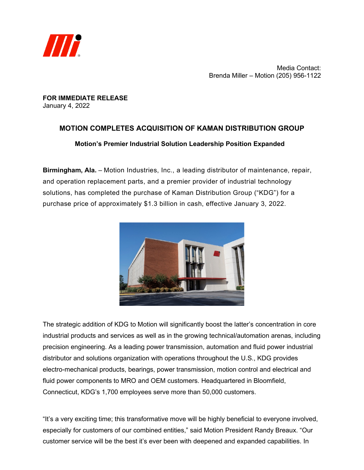

Media Contact: Brenda Miller – Motion (205) 956-1122

**FOR IMMEDIATE RELEASE** January 4, 2022

## **MOTION COMPLETES ACQUISITION OF KAMAN DISTRIBUTION GROUP Motion's Premier Industrial Solution Leadership Position Expanded**

**Birmingham, Ala.** – Motion Industries, Inc., a leading distributor of maintenance, repair, and operation replacement parts, and a premier provider of industrial technology solutions, has completed the purchase of Kaman Distribution Group ("KDG") for a purchase price of approximately \$1.3 billion in cash, effective January 3, 2022.



The strategic addition of KDG to Motion will significantly boost the latter's concentration in core industrial products and services as well as in the growing technical/automation arenas, including precision engineering. As a leading power transmission, automation and fluid power industrial distributor and solutions organization with operations throughout the U.S., KDG provides electro-mechanical products, bearings, power transmission, motion control and electrical and fluid power components to MRO and OEM customers. Headquartered in Bloomfield, Connecticut, KDG's 1,700 employees serve more than 50,000 customers.

"It's a very exciting time; this transformative move will be highly beneficial to everyone involved, especially for customers of our combined entities," said Motion President Randy Breaux. "Our customer service will be the best it's ever been with deepened and expanded capabilities. In